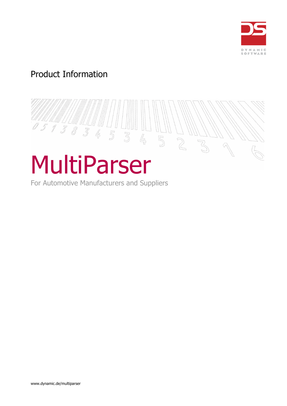

# Product Information



For Automotive Manufacturers and Suppliers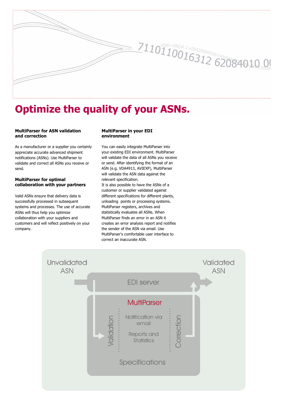

# **Optimize the quality of your ASNs.**

# **MultiParser for ASN validation and correction**

As a manufacturer or a supplier you certainly appreciate accurate advanced shipment notifications (ASNs). Use MultiParser to validate and correct all ASNs you receive or send.

#### **MultiParser for optimal collaboration with your partners**

Valid ASNs ensure that delivery data is successfully processed in subsequent systems and processes. The use of accurate ASNs will thus help you optimize collaboration with your suppliers and customers and will reflect positively on your company.

#### **MultiParser in your EDI environment**

You can easily integrate MultiParser into your existing EDI environment. MultiParser will validate the data of all ASNs you receive or send. After identifying the format of an ASN (e.g. VDA4913, AVIEXP), MultiParser will validate the ASN data against the relevant specification.

It is also possible to have the ASNs of a customer or supplier validated against different specifications for different plants, unloading points or processing systems. MultiParser registers, archives and statistically evaluates all ASNs. When MultiParser finds an error in an ASN it creates an error analysis report and notifies the sender of the ASN via email. Use MultiParser's comfortable user interface to correct an inaccurate ASN.

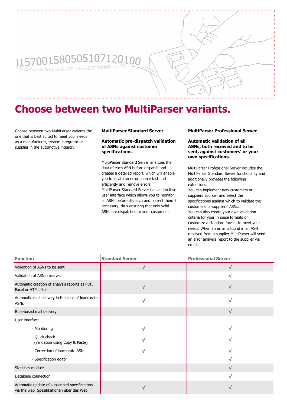

# **Choose between two MultiParser variants.**

Choose between two MultiParser variants the one that is best suited to meet your needs as a manufacturer, system integrator or supplier in the automotive industry.

# **MultiParser Standard Server**

#### **Automatic pre-dispatch validation of ASNs against customer specifications.**

MultiParser Standard Server analyzes the data of each ASN before dispatch and creates a detailed report, which will enable you to locate an error source fast and efficiently and remove errors. MultiParser Standard Server has an intuitive user interface which allows you to monitor all ASNs before dispatch and correct them if necessary, thus ensuring that only valid ASNs are dispatched to your customers.

### **MultiParser Professional Server**

**Automatic validation of all ASNs, both received and to be sent, against customers' or your own specifications.**

MultiParser Professional Server includes the MultiParser Standard Server functionality and additionally provides the following extensions:

You can implement new customers or suppliers yourself and select the specifications against which to validate the customers' or suppliers' ASNs. You can also create your own validation criteria for your inhouse formats or customize a standard format to meet your needs. When an error is found in an ASN received from a supplier MultiParser will send an error analysis report to the supplier via email.

| <b>Function</b>                                                                           | <b>Standard Server</b> | <b>Professional Server</b> |
|-------------------------------------------------------------------------------------------|------------------------|----------------------------|
| Validation of ASNs to be sent                                                             | V                      | N                          |
| Validation of ASNs received                                                               |                        | N                          |
| Automatic creation of analysis reports as PDF,<br>Excel or HTML files                     | V                      |                            |
| Automatic mail delivery in the case of inaccurate<br>ASNs                                 | N                      | V                          |
| Rule-based mail delivery                                                                  |                        | V                          |
| User interface                                                                            |                        |                            |
| - Monitoring                                                                              |                        | N                          |
| - Quick check<br>(validation using Copy & Paste)                                          |                        |                            |
| - Correction of inaccurate ASNs                                                           |                        |                            |
| - Specification editor                                                                    |                        |                            |
| Statistics module                                                                         |                        | V                          |
| Database connection                                                                       |                        |                            |
| Automatic update of subscribed specifications<br>via the web Spezifikationen über das Web |                        |                            |